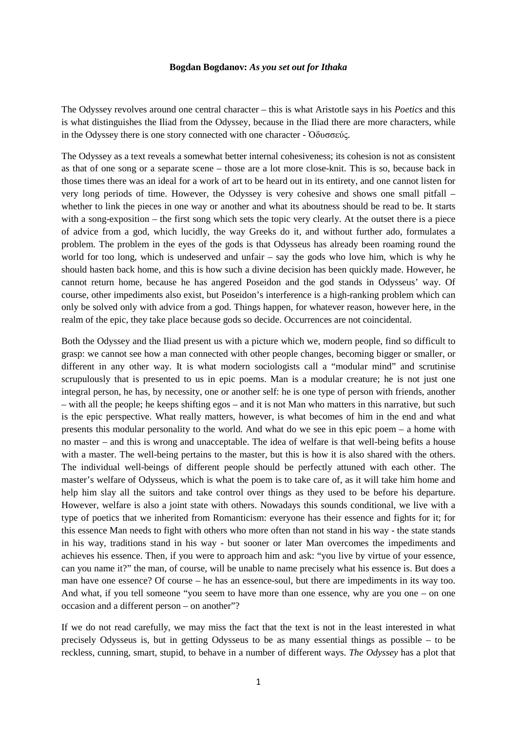## **Bogdan Bogdanov:** *As you set out for Ithaka*

The Odyssey revolves around one central character – this is what Aristotle says in his *Poetics* and this is what distinguishes the Iliad from the Odyssey, because in the Iliad there are more characters, while in the Odyssey there is one story connected with one character - Ὀδυσσεύς.

The Odyssey as a text reveals a somewhat better internal cohesiveness; its cohesion is not as consistent as that of one song or a separate scene – those are a lot more close-knit. This is so, because back in those times there was an ideal for a work of art to be heard out in its entirety, and one cannot listen for very long periods of time. However, the Odyssey is very cohesive and shows one small pitfall – whether to link the pieces in one way or another and what its aboutness should be read to be. It starts with a song-exposition – the first song which sets the topic very clearly. At the outset there is a piece of advice from a god, which lucidly, the way Greeks do it, and without further ado, formulates a problem. The problem in the eyes of the gods is that Odysseus has already been roaming round the world for too long, which is undeserved and unfair – say the gods who love him, which is why he should hasten back home, and this is how such a divine decision has been quickly made. However, he cannot return home, because he has angered Poseidon and the god stands in Odysseus' way. Of course, other impediments also exist, but Poseidon's interference is a high-ranking problem which can only be solved only with advice from a god. Things happen, for whatever reason, however here, in the realm of the epic, they take place because gods so decide. Occurrences are not coincidental.

Both the Odyssey and the Iliad present us with a picture which we, modern people, find so difficult to grasp: we cannot see how a man connected with other people changes, becoming bigger or smaller, or different in any other way. It is what modern sociologists call a "modular mind" and scrutinise scrupulously that is presented to us in epic poems. Man is a modular creature; he is not just one integral person, he has, by necessity, one or another self: he is one type of person with friends, another – with all the people; he keeps shifting egos – and it is not Man who matters in this narrative, but such is the epic perspective. What really matters, however, is what becomes of him in the end and what presents this modular personality to the world. And what do we see in this epic poem – a home with no master – and this is wrong and unacceptable. The idea of welfare is that well-being befits a house with a master. The well-being pertains to the master, but this is how it is also shared with the others. The individual well-beings of different people should be perfectly attuned with each other. The master's welfare of Odysseus, which is what the poem is to take care of, as it will take him home and help him slay all the suitors and take control over things as they used to be before his departure. However, welfare is also a joint state with others. Nowadays this sounds conditional, we live with a type of poetics that we inherited from Romanticism: everyone has their essence and fights for it; for this essence Man needs to fight with others who more often than not stand in his way - the state stands in his way, traditions stand in his way - but sooner or later Man overcomes the impediments and achieves his essence. Then, if you were to approach him and ask: "you live by virtue of your essence, can you name it?" the man, of course, will be unable to name precisely what his essence is. But does a man have one essence? Of course – he has an essence-soul, but there are impediments in its way too. And what, if you tell someone "you seem to have more than one essence, why are you one – on one occasion and a different person – on another"?

If we do not read carefully, we may miss the fact that the text is not in the least interested in what precisely Odysseus is, but in getting Odysseus to be as many essential things as possible – to be reckless, cunning, smart, stupid, to behave in a number of different ways. *The Odyssey* has a plot that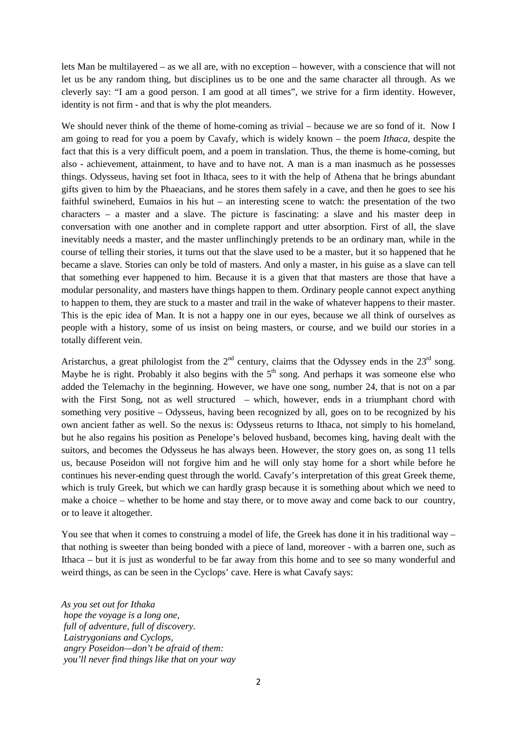lets Man be multilayered – as we all are, with no exception – however, with a conscience that will not let us be any random thing, but disciplines us to be one and the same character all through. As we cleverly say: "I am a good person. I am good at all times", we strive for a firm identity. However, identity is not firm - and that is why the plot meanders.

We should never think of the theme of home-coming as trivial – because we are so fond of it. Now I am going to read for you a poem by Cavafy, which is widely known – the poem *Ithaca*, despite the fact that this is a very difficult poem, and a poem in translation. Thus, the theme is home-coming, but also - achievement, attainment, to have and to have not. A man is a man inasmuch as he possesses things. Odysseus, having set foot in Ithaca, sees to it with the help of Athena that he brings abundant gifts given to him by the Phaeacians, and he stores them safely in a cave, and then he goes to see his faithful swineherd, Eumaios in his hut – an interesting scene to watch: the presentation of the two characters – a master and a slave. The picture is fascinating: a slave and his master deep in conversation with one another and in complete rapport and utter absorption. First of all, the slave inevitably needs a master, and the master unflinchingly pretends to be an ordinary man, while in the course of telling their stories, it turns out that the slave used to be a master, but it so happened that he became a slave. Stories can only be told of masters. And only a master, in his guise as a slave can tell that something ever happened to him. Because it is a given that that masters are those that have a modular personality, and masters have things happen to them. Ordinary people cannot expect anything to happen to them, they are stuck to a master and trail in the wake of whatever happens to their master. This is the epic idea of Man. It is not a happy one in our eyes, because we all think of ourselves as people with a history, some of us insist on being masters, or course, and we build our stories in a totally different vein.

Aristarchus, a great philologist from the  $2<sup>nd</sup>$  century, claims that the Odyssey ends in the  $23<sup>rd</sup>$  song. Maybe he is right. Probably it also begins with the  $5<sup>th</sup>$  song. And perhaps it was someone else who added the Telemachy in the beginning. However, we have one song, number 24, that is not on a par with the First Song, not as well structured – which, however, ends in a triumphant chord with something very positive – Odysseus, having been recognized by all, goes on to be recognized by his own ancient father as well. So the nexus is: Odysseus returns to Ithaca, not simply to his homeland, but he also regains his position as Penelope's beloved husband, becomes king, having dealt with the suitors, and becomes the Odysseus he has always been. However, the story goes on, as song 11 tells us, because Poseidon will not forgive him and he will only stay home for a short while before he continues his never-ending quest through the world. Cavafy's interpretation of this great Greek theme, which is truly Greek, but which we can hardly grasp because it is something about which we need to make a choice – whether to be home and stay there, or to move away and come back to our country, or to leave it altogether.

You see that when it comes to construing a model of life, the Greek has done it in his traditional way – that nothing is sweeter than being bonded with a piece of land, moreover - with a barren one, such as Ithaca – but it is just as wonderful to be far away from this home and to see so many wonderful and weird things, as can be seen in the Cyclops' cave. Here is what Cavafy says:

*As you set out for Ithaka hope the voyage is a long one, full of adventure, full of discovery. Laistrygonians and Cyclops, angry Poseidon—don't be afraid of them: you'll never find things like that on your way*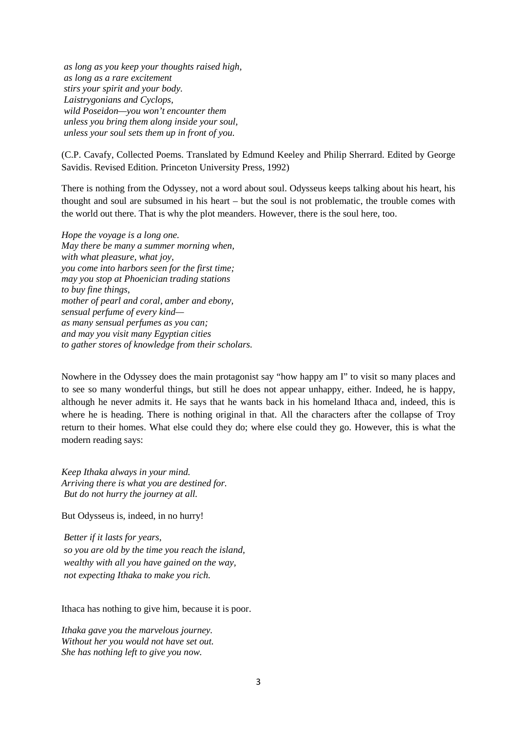*as long as you keep your thoughts raised high, as long as a rare excitement stirs your spirit and your body. Laistrygonians and Cyclops, wild Poseidon—you won't encounter them unless you bring them along inside your soul, unless your soul sets them up in front of you.*

(C.P. Cavafy, Collected Poems. Translated by Edmund Keeley and Philip Sherrard. Edited by George Savidis. Revised Edition. Princeton University Press, 1992)

There is nothing from the Odyssey, not a word about soul. Odysseus keeps talking about his heart, his thought and soul are subsumed in his heart – but the soul is not problematic, the trouble comes with the world out there. That is why the plot meanders. However, there is the soul here, too.

*Hope the voyage is a long one. May there be many a summer morning when, with what pleasure, what joy, you come into harbors seen for the first time; may you stop at Phoenician trading stations to buy fine things, mother of pearl and coral, amber and ebony, sensual perfume of every kind as many sensual perfumes as you can; and may you visit many Egyptian cities to gather stores of knowledge from their scholars.*

Nowhere in the Odyssey does the main protagonist say "how happy am I" to visit so many places and to see so many wonderful things, but still he does not appear unhappy, either. Indeed, he is happy, although he never admits it. He says that he wants back in his homeland Ithaca and, indeed, this is where he is heading. There is nothing original in that. All the characters after the collapse of Troy return to their homes. What else could they do; where else could they go. However, this is what the modern reading says:

*Keep Ithaka always in your mind. Arriving there is what you are destined for. But do not hurry the journey at all.*

But Odysseus is, indeed, in no hurry!

*Better if it lasts for years, so you are old by the time you reach the island, wealthy with all you have gained on the way, not expecting Ithaka to make you rich.*

Ithaca has nothing to give him, because it is poor.

*Ithaka gave you the marvelous journey. Without her you would not have set out. She has nothing left to give you now.*